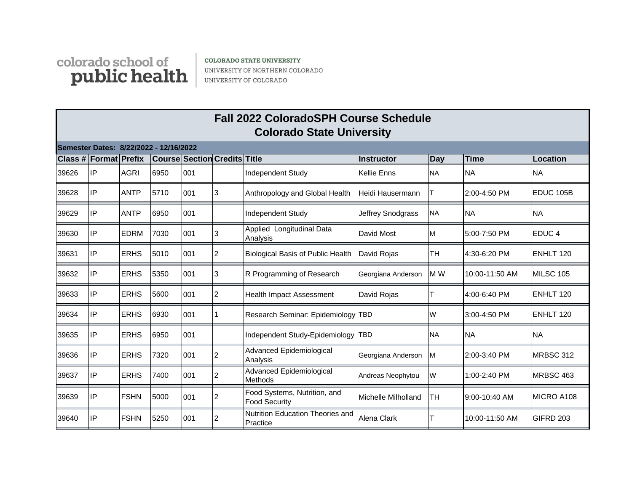

**COLORADO STATE UNIVERSITY** UNIVERSITY OF NORTHERN COLORADO UNIVERSITY OF COLORADO

|                                        | <b>Fall 2022 ColoradoSPH Course Schedule</b><br><b>Colorado State University</b> |             |      |     |                                     |                                                      |                          |           |                |                   |  |  |
|----------------------------------------|----------------------------------------------------------------------------------|-------------|------|-----|-------------------------------------|------------------------------------------------------|--------------------------|-----------|----------------|-------------------|--|--|
| Semester Dates: 8/22/2022 - 12/16/2022 |                                                                                  |             |      |     |                                     |                                                      |                          |           |                |                   |  |  |
|                                        | Class # Format Prefix                                                            |             |      |     | <b>Course Section Credits Title</b> |                                                      | <b>Instructor</b>        | Day       | Time           | Location          |  |  |
| 39626                                  | lIP.                                                                             | <b>AGRI</b> | 6950 | 001 |                                     | <b>Independent Study</b>                             | <b>Kellie Enns</b>       | <b>NA</b> | <b>NA</b>      | <b>NA</b>         |  |  |
| 39628                                  | IP                                                                               | <b>ANTP</b> | 5710 | 001 | 3                                   | Anthropology and Global Health                       | Heidi Hausermann         |           | 2:00-4:50 PM   | <b>EDUC 105B</b>  |  |  |
| 39629                                  | lIP                                                                              | <b>ANTP</b> | 6950 | 001 |                                     | <b>Independent Study</b>                             | <b>Jeffrey Snodgrass</b> | <b>NA</b> | <b>NA</b>      | <b>NA</b>         |  |  |
| 39630                                  | lIP.                                                                             | <b>EDRM</b> | 7030 | 001 | 3                                   | Applied Longitudinal Data<br>Analysis                | David Most               | M         | 5:00-7:50 PM   | EDUC <sub>4</sub> |  |  |
| 39631                                  | lIP                                                                              | <b>ERHS</b> | 5010 | 001 | 2                                   | <b>Biological Basis of Public Health</b>             | David Rojas              | TH        | 4:30-6:20 PM   | <b>ENHLT 120</b>  |  |  |
| 39632                                  | lIP                                                                              | <b>ERHS</b> | 5350 | 001 | 3                                   | R Programming of Research                            | Georgiana Anderson       | M W       | 10:00-11:50 AM | MILSC 105         |  |  |
| 39633                                  | IP                                                                               | <b>ERHS</b> | 5600 | 001 | $\overline{2}$                      | <b>Health Impact Assessment</b>                      | David Rojas              |           | 4:00-6:40 PM   | <b>ENHLT 120</b>  |  |  |
| 39634                                  | lIP                                                                              | <b>ERHS</b> | 6930 | 001 |                                     | Research Seminar: Epidemiology TBD                   |                          | W         | 3:00-4:50 PM   | <b>ENHLT 120</b>  |  |  |
| 39635                                  | lIP                                                                              | <b>ERHS</b> | 6950 | 001 |                                     | Independent Study-Epidemiology  TBD                  |                          | <b>NA</b> | <b>NA</b>      | <b>NA</b>         |  |  |
| 39636                                  | lIP                                                                              | <b>ERHS</b> | 7320 | 001 | 2                                   | <b>Advanced Epidemiological</b><br>Analysis          | Georgiana Anderson       | <b>M</b>  | 2:00-3:40 PM   | MRBSC 312         |  |  |
| 39637                                  | lIP                                                                              | <b>ERHS</b> | 7400 | 001 | $\overline{c}$                      | Advanced Epidemiological<br>Methods                  | Andreas Neophytou        | W         | 1:00-2:40 PM   | MRBSC 463         |  |  |
| 39639                                  | lIP                                                                              | <b>FSHN</b> | 5000 | 001 | $\overline{c}$                      | Food Systems, Nutrition, and<br><b>Food Security</b> | Michelle Milholland      | TН        | 9:00-10:40 AM  | MICRO A108        |  |  |
| 39640                                  | lIP                                                                              | <b>FSHN</b> | 5250 | 001 | $\overline{c}$                      | Nutrition Education Theories and<br>Practice         | Alena Clark              | т         | 10:00-11:50 AM | GIFRD 203         |  |  |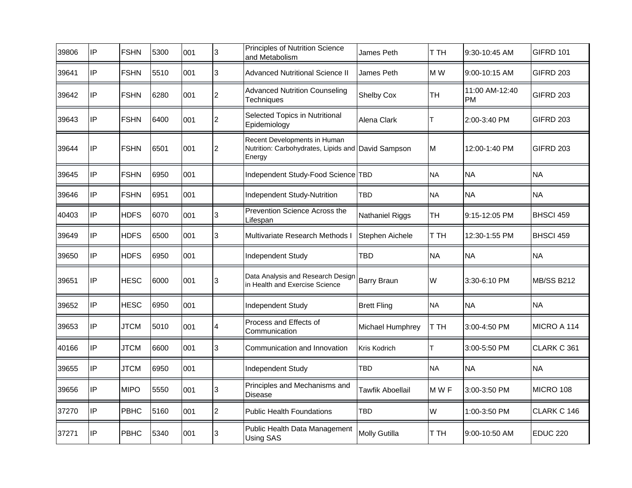| 39806 | IP | <b>FSHN</b> | 5300 | 001 | 3              | Principles of Nutrition Science<br>and Metabolism                                            | James Peth           | T TH      | 9:30-10:45 AM               | GIFRD 101         |
|-------|----|-------------|------|-----|----------------|----------------------------------------------------------------------------------------------|----------------------|-----------|-----------------------------|-------------------|
| 39641 | IP | <b>FSHN</b> | 5510 | 001 | 3              | <b>Advanced Nutritional Science II</b>                                                       | James Peth           | M W       | 9:00-10:15 AM               | <b>GIFRD 203</b>  |
| 39642 | IP | <b>FSHN</b> | 6280 | 001 | $\overline{2}$ | <b>Advanced Nutrition Counseling</b><br><b>Techniques</b>                                    | Shelby Cox           | <b>TH</b> | 11:00 AM-12:40<br><b>PM</b> | <b>GIFRD 203</b>  |
| 39643 | IP | <b>FSHN</b> | 6400 | 001 | 2              | Selected Topics in Nutritional<br>Epidemiology                                               | Alena Clark          | Т         | 2:00-3:40 PM                | GIFRD 203         |
| 39644 | IP | <b>FSHN</b> | 6501 | 001 | $\overline{2}$ | Recent Developments in Human<br>Nutrition: Carbohydrates, Lipids and David Sampson<br>Energy |                      | M         | 12:00-1:40 PM               | GIFRD 203         |
| 39645 | IP | <b>FSHN</b> | 6950 | 001 |                | Independent Study-Food Science                                                               | <b>TBD</b>           | <b>NA</b> | <b>NA</b>                   | <b>NA</b>         |
| 39646 | IP | <b>FSHN</b> | 6951 | 001 |                | Independent Study-Nutrition                                                                  | TBD                  | <b>NA</b> | <b>NA</b>                   | <b>NA</b>         |
| 40403 | IP | <b>HDFS</b> | 6070 | 001 | 3              | Prevention Science Across the<br>∟ifespan                                                    | Nathaniel Riggs      | <b>TH</b> | 9:15-12:05 PM               | BHSCI 459         |
| 39649 | IP | <b>HDFS</b> | 6500 | 001 | 3              | Multivariate Research Methods I                                                              | Stephen Aichele      | T TH      | 12:30-1:55 PM               | BHSCI 459         |
| 39650 | IP | <b>HDFS</b> | 6950 | 001 |                | Independent Study                                                                            | TBD                  | <b>NA</b> | <b>NA</b>                   | <b>NA</b>         |
| 39651 | IP | <b>HESC</b> | 6000 | 001 | 3              | Data Analysis and Research Design<br>in Health and Exercise Science                          | <b>Barry Braun</b>   | W         | 3:30-6:10 PM                | <b>MB/SS B212</b> |
| 39652 | IP | <b>HESC</b> | 6950 | 001 |                | <b>Independent Study</b>                                                                     | <b>Brett Fling</b>   | <b>NA</b> | <b>NA</b>                   | <b>NA</b>         |
| 39653 | IP | <b>JTCM</b> | 5010 | 001 | 4              | Process and Effects of<br>Communication                                                      | Michael Humphrey     | T TH      | 3:00-4:50 PM                | MICRO A 114       |
| 40166 | IP | <b>JTCM</b> | 6600 | 001 | 3              | Communication and Innovation                                                                 | <b>Kris Kodrich</b>  | T         | 3:00-5:50 PM                | CLARK C 361       |
| 39655 | IP | <b>JTCM</b> | 6950 | 001 |                | Independent Study                                                                            | TBD                  | <b>NA</b> | <b>NA</b>                   | <b>NA</b>         |
| 39656 | IP | <b>MIPO</b> | 5550 | 001 | 3              | Principles and Mechanisms and<br>Disease                                                     | Tawfik Aboellail     | M W F     | 3:00-3:50 PM                | MICRO 108         |
| 37270 | IP | PBHC        | 5160 | 001 | $\overline{2}$ | <b>Public Health Foundations</b>                                                             | TBD                  | W         | 1:00-3:50 PM                | CLARK C 146       |
| 37271 | IP | PBHC        | 5340 | 001 | 3              | Public Health Data Management<br>Using SAS                                                   | <b>Molly Gutilla</b> | T TH      | 9:00-10:50 AM               | <b>EDUC 220</b>   |